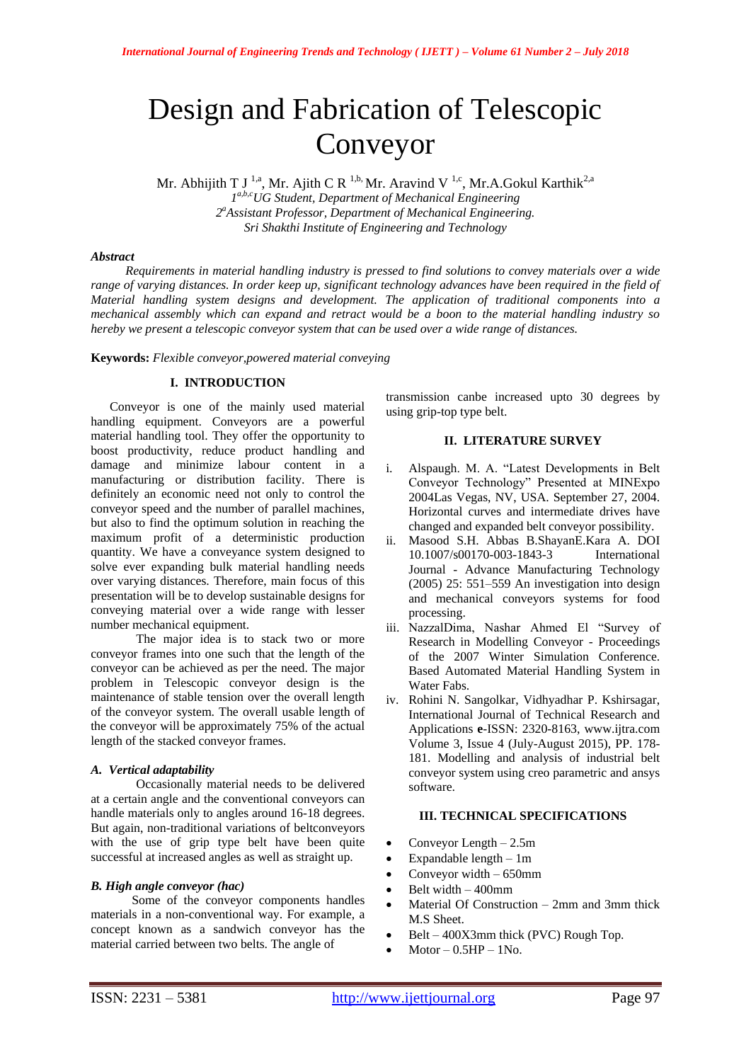# Design and Fabrication of Telescopic Conveyor

Mr. Abhijith T J<sup>1,a</sup>, Mr. Ajith C R<sup>1,b,</sup> Mr. Aravind V<sup>1,c</sup>, Mr.A.Gokul Karthik<sup>2,a</sup> *1 a,b,cUG Student, Department of Mechanical Engineering*

*2 <sup>a</sup>Assistant Professor, Department of Mechanical Engineering. Sri Shakthi Institute of Engineering and Technology*

## *Abstract*

 *Requirements in material handling industry is pressed to find solutions to convey materials over a wide range of varying distances. In order keep up, significant technology advances have been required in the field of Material handling system designs and development. The application of traditional components into a mechanical assembly which can expand and retract would be a boon to the material handling industry so hereby we present a telescopic conveyor system that can be used over a wide range of distances.*

**Keywords:** *Flexible conveyor,powered material conveying*

# **I. INTRODUCTION**

 Conveyor is one of the mainly used material handling equipment. Conveyors are a powerful material handling tool. They offer the opportunity to boost productivity, reduce product handling and damage and minimize labour content in a manufacturing or distribution facility. There is definitely an economic need not only to control the conveyor speed and the number of parallel machines, but also to find the optimum solution in reaching the maximum profit of a deterministic production quantity. We have a conveyance system designed to solve ever expanding bulk material handling needs over varying distances. Therefore, main focus of this presentation will be to develop sustainable designs for conveying material over a wide range with lesser number mechanical equipment.

The major idea is to stack two or more conveyor frames into one such that the length of the conveyor can be achieved as per the need. The major problem in Telescopic conveyor design is the maintenance of stable tension over the overall length of the conveyor system. The overall usable length of the conveyor will be approximately 75% of the actual length of the stacked conveyor frames.

## *A. Vertical adaptability*

Occasionally material needs to be delivered at a certain angle and the conventional conveyors can handle materials only to angles around 16-18 degrees. But again, non-traditional variations of beltconveyors with the use of grip type belt have been quite successful at increased angles as well as straight up.

## *B. High angle conveyor (hac)*

 Some of the conveyor components handles materials in a non-conventional way. For example, a concept known as a sandwich conveyor has the material carried between two belts. The angle of

transmission canbe increased upto 30 degrees by using grip-top type belt.

## **II. LITERATURE SURVEY**

- i. Alspaugh. M. A. "Latest Developments in Belt Conveyor Technology" Presented at MINExpo 2004Las Vegas, NV, USA. September 27, 2004. Horizontal curves and intermediate drives have changed and expanded belt conveyor possibility.
- ii. Masood S.H. Abbas B.ShayanE.Kara A. DOI 10.1007/s00170-003-1843-3 International Journal - Advance Manufacturing Technology (2005) 25: 551–559 An investigation into design and mechanical conveyors systems for food processing.
- iii. NazzalDima, Nashar Ahmed El "Survey of Research in Modelling Conveyor - Proceedings of the 2007 Winter Simulation Conference. Based Automated Material Handling System in Water Fabs.
- iv. Rohini N. Sangolkar, Vidhyadhar P. Kshirsagar, International Journal of Technical Research and Applications **e**-ISSN: 2320-8163, www.ijtra.com Volume 3, Issue 4 (July-August 2015), PP. 178- 181. Modelling and analysis of industrial belt conveyor system using creo parametric and ansys software.

## **III. TECHNICAL SPECIFICATIONS**

- Conveyor Length 2.5m
- Expandable length 1m
- Conveyor width 650mm
- Belt width 400mm
- Material Of Construction 2mm and 3mm thick M.S Sheet.
- Belt 400X3mm thick (PVC) Rough Top.
- Motor  $-0.5HP 1N_0$ .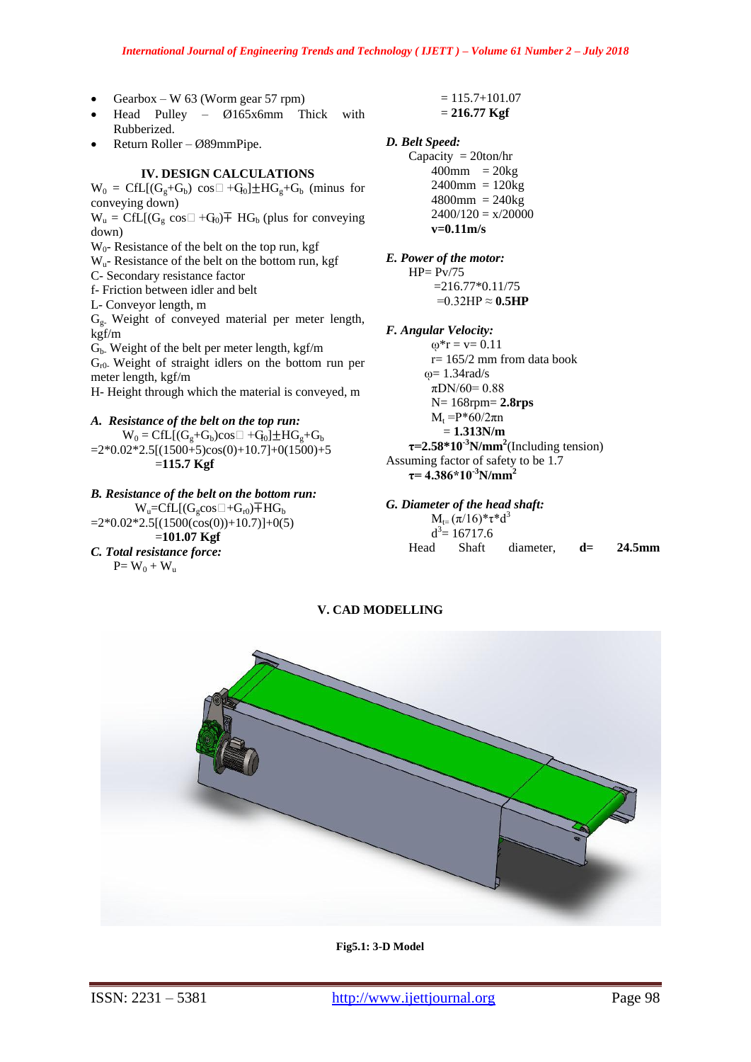- Gearbox W 63 (Worm gear 57 rpm)
- Head Pulley Ø165x6mm Thick with Rubberized.
- Return Roller Ø89mmPipe.

## **IV. DESIGN CALCULATIONS**

 $W_0 = CfL[(G_g+G_b) \cos \Box +G_0] \pm HG_g+G_b$  (minus for conveying down)

 $W_u = CfL[(G_e \cos \Box + G_0) \mp H G_b$  (plus for conveying down)

 $W_0$ - Resistance of the belt on the top run, kgf

- $W_{u}$  Resistance of the belt on the bottom run, kgf
- C- Secondary resistance factor

f- Friction between idler and belt

L- Conveyor length, m

Gg- Weight of conveyed material per meter length, kgf/m

Gb- Weight of the belt per meter length, kgf/m  $G<sub>r0</sub>$ . Weight of straight idlers on the bottom run per meter length, kgf/m

H- Height through which the material is conveyed, m

## *A. Resistance of the belt on the top run:*

 $W_0 = CfL[(G_g+G_b)cos\Box +G_0] \pm HG_g+G_b$  $=2*0.02*2.5[(1500+5)\cos(0)+10.7]+0(1500)+5$ =**115.7 Kgf**

*B. Resistance of the belt on the bottom run:*  $W_u = CfL[(G_s \cos \Box + G_{r0}) + HG_b]$  $=2*0.02*2.5[(1500(\cos(0))+10.7)]+0(5)$  =**101.07 Kgf** *C. Total resistance force:*  $P= W_0 + W_u$ 

 $= 115.7 + 101.07$ = **216.77 Kgf**

## *D. Belt Speed:*

Capacity = 20ton/hr  $400$ mm =  $20kg$  $2400$ mm =  $120$ kg  $4800$ mm = 240 $kg$  $2400/120 = x/20000$ **v=0.11m/s**

*E. Power of the motor:*  $HP = Py/75$ 

> $=216.77*0.11/75$  $=0.32$ HP  $\approx 0.5$ **HP**

- *F. Angular Velocity:*
- $\omega^* r = v = 0.11$ r= 165/2 mm from data book  $\omega$ = 1.34rad/s  $\pi$ DN/60= 0.88 N= 168rpm= **2.8rps**  $M_t = P*60/2πn$  = **1.313N/m**  $\tau$ =2.58\*10<sup>-3</sup>N/mm<sup>2</sup>(Including tension) Assuming factor of safety to be 1.7

# $\tau$  = 4.386\*10<sup>-3</sup>N/mm<sup>2</sup>

*G. Diameter of the head shaft:*

 $M_{t-}(\pi/16)*\tau*d^3$  $d^3$  = 16717.6 Head Shaft diameter, **d= 24.5mm**

**V. CAD MODELLING**



**Fig5.1: 3-D Model**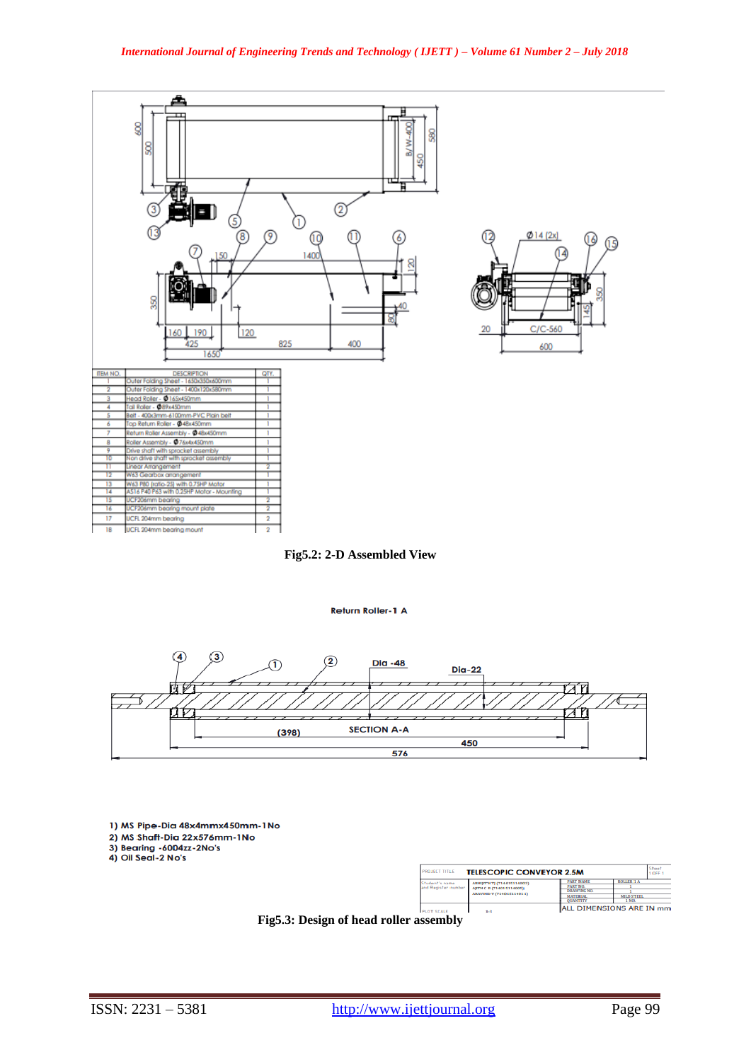

**Fig5.2: 2-D Assembled View**

#### Return Roller-1 A



- 1) MS Pipe-Dia 48x4mmx450mm-1No
- 2) MS Shaff-Dia 22x576mm-1No<br>3) Bearing -6004zz-2No's<br>4) Oil Seal-2 No's
- 

| <b>PROJECT TITLE</b><br><b>TELESCOPIC CONVEYOR 2.5M</b> |                                                                                  |                                                                  |                              | <b>There</b><br>1.0EF 1 |  |
|---------------------------------------------------------|----------------------------------------------------------------------------------|------------------------------------------------------------------|------------------------------|-------------------------|--|
| Situdent's name<br>and Register number                  | ABHIITH TI (714015114002)<br>AITH C R (714015114005)<br>ARAVIND V (714015114011) | <b><i>FART NAME</i></b><br><b>PART NO.</b><br><b>DRAWING NO.</b> | <b>ROLLER 1 A</b>            |                         |  |
|                                                         |                                                                                  | <b>MATERIAL</b><br><b>OUANTITY</b>                               | <b>MILD STEEL</b><br>$1$ NO. |                         |  |
| <b>PLOT SCALE</b>                                       | $1 - 3$                                                                          |                                                                  | ALL DIMENSIONS ARE IN mm     |                         |  |